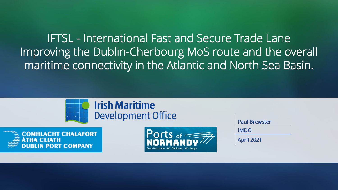IFTSL - International Fast and Secure Trade Lane Improving the Dublin-Cherbourg MoS route and the overall maritime connectivity in the Atlantic and North Sea Basin.



#### **Irish Maritime** Development Office

**HT CHALAFORT DRT COMPANY** 



Paul Brewster IMDO April 2021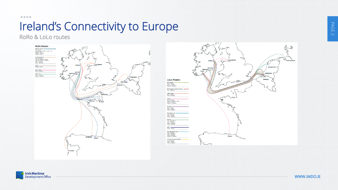#### $\bullet\bullet\bullet\bullet$ Ireland's Connectivity to Europe

RoRo & LoLo routes







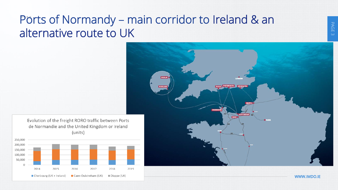### Ports of Normandy – main corridor to Ireland & an alternative route to UK

**DUBLIN** POOLE PORTSMOUTH ROSSLARE CHERBOUR **OUISTREHAM CAEH &** 

Evolution of the freight RORO traffic between Ports de Normandie and the United Kingdom or Ireland (units)



WWW.IMDO.IE

PAGE 3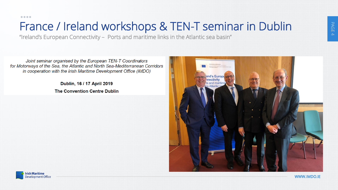$\bullet\bullet\bullet\bullet$ 

## France / Ireland workshops & TEN-T seminar in Dublin

"Ireland's European Connectivity – Ports and maritime links in the Atlantic sea basin"

Joint seminar organised by the European TEN-T Coordinators for Motorways of the Sea, the Atlantic and North Sea-Mediterranean Corridors in cooperation with the Irish Maritime Development Office (IMDO)

> Dublin, 16 / 17 April 2019 **The Convention Centre Dublin**



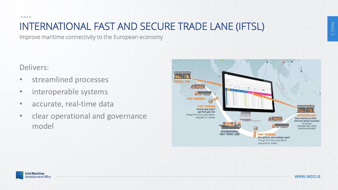### INTERNATIONAL FAST AND SECURE TRADE LANE (IFTSL)

Improve maritime connectivity to the European economy

Delivers:

- streamlined processes
- interoperable systems
- accurate, real-time data
- clear operational and governance model



PAGE  $\overline{C}$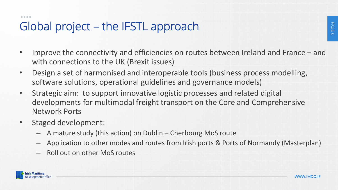PAGE  $\circ$ 

 $\bullet\bullet\bullet\bullet$ 

## Global project – the IFSTL approach

- Improve the connectivity and efficiencies on routes between Ireland and France and with connections to the UK (Brexit issues)
- Design a set of harmonised and interoperable tools (business process modelling, software solutions, operational guidelines and governance models)
- Strategic aim: to support innovative logistic processes and related digital developments for multimodal freight transport on the Core and Comprehensive Network Ports
- Staged development:
	- A mature study (this action) on Dublin Cherbourg MoS route
	- Application to other modes and routes from Irish ports & Ports of Normandy (Masterplan)
	- Roll out on other MoS routes

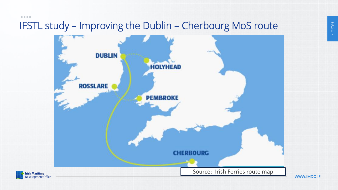$\bullet\bullet\bullet\bullet$ 

#### IFSTL study – Improving the Dublin – Cherbourg MoS route